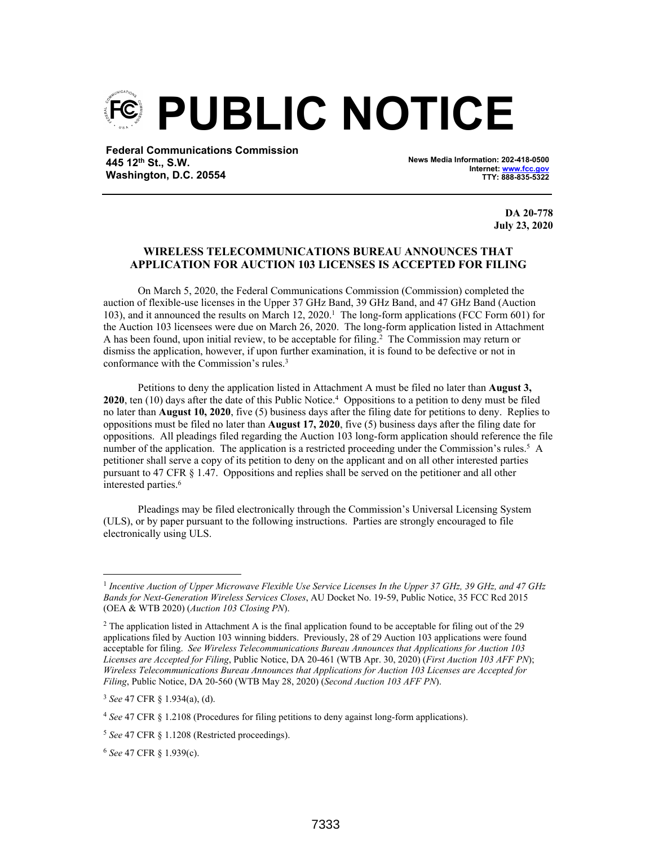

**Federal Communications Commission 445 12th St., S.W. Washington, D.C. 20554**

**News Media Information: 202-418-0500 Internet: www.fcc.g TTY: 888-835-5322**

> **DA 20-778 July 23, 2020**

## **WIRELESS TELECOMMUNICATIONS BUREAU ANNOUNCES THAT APPLICATION FOR AUCTION 103 LICENSES IS ACCEPTED FOR FILING**

On March 5, 2020, the Federal Communications Commission (Commission) completed the auction of flexible-use licenses in the Upper 37 GHz Band, 39 GHz Band, and 47 GHz Band (Auction 103), and it announced the results on March 12, 2020.<sup>1</sup> The long-form applications (FCC Form 601) for the Auction 103 licensees were due on March 26, 2020. The long-form application listed in Attachment A has been found, upon initial review, to be acceptable for filing.<sup>2</sup> The Commission may return or dismiss the application, however, if upon further examination, it is found to be defective or not in conformance with the Commission's rules.<sup>3</sup>

Petitions to deny the application listed in Attachment A must be filed no later than **August 3, 2020**, ten (10) days after the date of this Public Notice.<sup>4</sup> Oppositions to a petition to deny must be filed no later than **August 10, 2020**, five (5) business days after the filing date for petitions to deny. Replies to oppositions must be filed no later than **August 17, 2020**, five (5) business days after the filing date for oppositions. All pleadings filed regarding the Auction 103 long-form application should reference the file number of the application. The application is a restricted proceeding under the Commission's rules.<sup>5</sup> A petitioner shall serve a copy of its petition to deny on the applicant and on all other interested parties pursuant to 47 CFR § 1.47. Oppositions and replies shall be served on the petitioner and all other interested parties.<sup>6</sup>

Pleadings may be filed electronically through the Commission's Universal Licensing System (ULS), or by paper pursuant to the following instructions. Parties are strongly encouraged to file electronically using ULS.

<sup>&</sup>lt;sup>1</sup> Incentive Auction of Upper Microwave Flexible Use Service Licenses In the Upper 37 GHz, 39 GHz, and 47 GHz *Bands for Next-Generation Wireless Services Closes*, AU Docket No. 19-59, Public Notice, 35 FCC Rcd 2015 (OEA & WTB 2020) (*Auction 103 Closing PN*).

<sup>&</sup>lt;sup>2</sup> The application listed in Attachment A is the final application found to be acceptable for filing out of the  $29$ applications filed by Auction 103 winning bidders. Previously, 28 of 29 Auction 103 applications were found acceptable for filing. *See Wireless Telecommunications Bureau Announces that Applications for Auction 103 Licenses are Accepted for Filing*, Public Notice, DA 20-461 (WTB Apr. 30, 2020) (*First Auction 103 AFF PN*); *Wireless Telecommunications Bureau Announces that Applications for Auction 103 Licenses are Accepted for Filing*, Public Notice, DA 20-560 (WTB May 28, 2020) (*Second Auction 103 AFF PN*).

<sup>3</sup> *See* 47 CFR § 1.934(a), (d).

<sup>4</sup> *See* 47 CFR § 1.2108 (Procedures for filing petitions to deny against long-form applications).

<sup>5</sup> *See* 47 CFR § 1.1208 (Restricted proceedings).

<sup>6</sup> *See* 47 CFR § 1.939(c).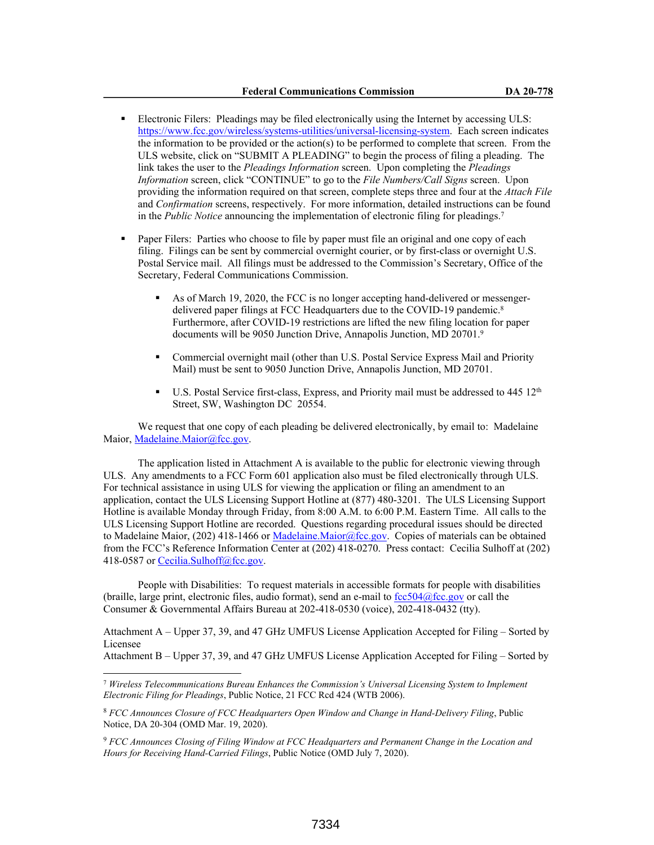- Electronic Filers: Pleadings may be filed electronically using the Internet by accessing ULS: https://www.fcc.gov/wireless/systems-utilities/universal-licensing-system. Each screen indicates the information to be provided or the action(s) to be performed to complete that screen. From the ULS website, click on "SUBMIT A PLEADING" to begin the process of filing a pleading. The link takes the user to the *Pleadings Information* screen. Upon completing the *Pleadings Information* screen, click "CONTINUE" to go to the *File Numbers/Call Signs* screen. Upon providing the information required on that screen, complete steps three and four at the *Attach File* and *Confirmation* screens, respectively. For more information, detailed instructions can be found in the *Public Notice* announcing the implementation of electronic filing for pleadings.<sup>7</sup>
- Paper Filers: Parties who choose to file by paper must file an original and one copy of each filing. Filings can be sent by commercial overnight courier, or by first-class or overnight U.S. Postal Service mail. All filings must be addressed to the Commission's Secretary, Office of the Secretary, Federal Communications Commission.
	- As of March 19, 2020, the FCC is no longer accepting hand-delivered or messengerdelivered paper filings at FCC Headquarters due to the COVID-19 pandemic.<sup>8</sup> Furthermore, after COVID-19 restrictions are lifted the new filing location for paper documents will be 9050 Junction Drive, Annapolis Junction, MD 20701.9
	- Commercial overnight mail (other than U.S. Postal Service Express Mail and Priority Mail) must be sent to 9050 Junction Drive, Annapolis Junction, MD 20701.
	- U.S. Postal Service first-class, Express, and Priority mail must be addressed to  $445 \frac{12^{th}}{12^{th}}$ Street, SW, Washington DC 20554.

We request that one copy of each pleading be delivered electronically, by email to: Madelaine Maior, Madelaine.Maior@fcc.gov.

The application listed in Attachment A is available to the public for electronic viewing through ULS. Any amendments to a FCC Form 601 application also must be filed electronically through ULS. For technical assistance in using ULS for viewing the application or filing an amendment to an application, contact the ULS Licensing Support Hotline at (877) 480-3201. The ULS Licensing Support Hotline is available Monday through Friday, from 8:00 A.M. to 6:00 P.M. Eastern Time. All calls to the ULS Licensing Support Hotline are recorded. Questions regarding procedural issues should be directed to Madelaine Maior, (202) 418-1466 or Madelaine. Maior @fcc.gov. Copies of materials can be obtained from the FCC's Reference Information Center at (202) 418-0270. Press contact: Cecilia Sulhoff at (202) 418-0587 or Cecilia.Sulhoff@fcc.gov.

People with Disabilities: To request materials in accessible formats for people with disabilities (braille, large print, electronic files, audio format), send an e-mail to  $fcc504@$  fcc.gov or call the Consumer & Governmental Affairs Bureau at 202-418-0530 (voice), 202-418-0432 (tty).

Attachment A – Upper 37, 39, and 47 GHz UMFUS License Application Accepted for Filing – Sorted by Licensee Attachment B – Upper 37, 39, and 47 GHz UMFUS License Application Accepted for Filing – Sorted by

<sup>7</sup> *Wireless Telecommunications Bureau Enhances the Commission's Universal Licensing System to Implement Electronic Filing for Pleadings*, Public Notice, 21 FCC Rcd 424 (WTB 2006).

<sup>8</sup> *FCC Announces Closure of FCC Headquarters Open Window and Change in Hand-Delivery Filing*, Public Notice, DA 20-304 (OMD Mar. 19, 2020).

<sup>9</sup> *FCC Announces Closing of Filing Window at FCC Headquarters and Permanent Change in the Location and Hours for Receiving Hand-Carried Filings*, Public Notice (OMD July 7, 2020).